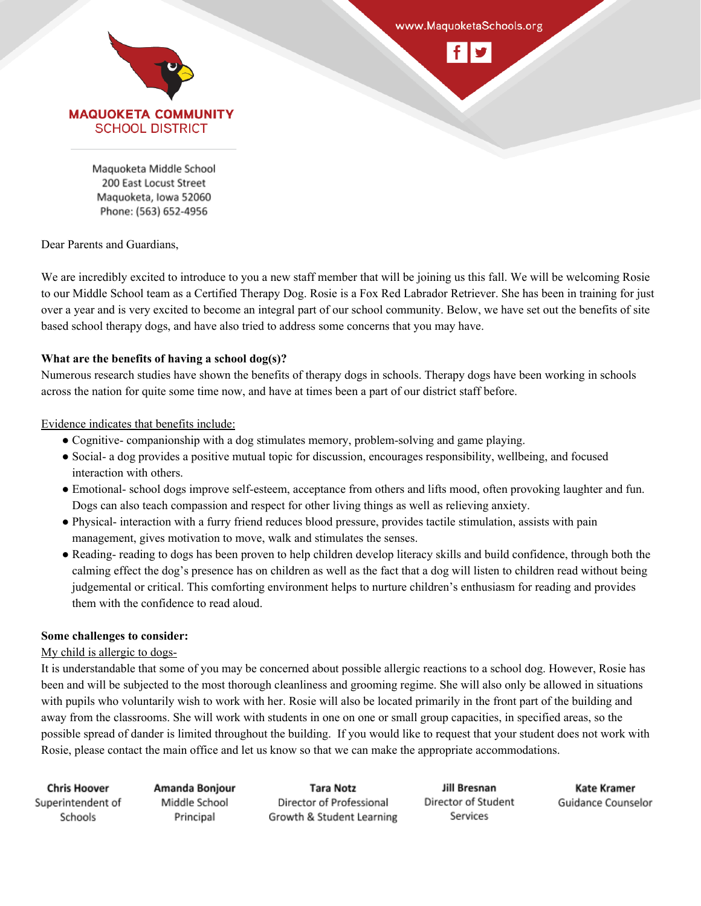

www.MaquoketaSchools.org



Maguoketa Middle School 200 East Locust Street Maquoketa, Iowa 52060 Phone: (563) 652-4956

# Dear Parents and Guardians,

We are incredibly excited to introduce to you a new staff member that will be joining us this fall. We will be welcoming Rosie to our Middle School team as a Certified Therapy Dog. Rosie is a Fox Red Labrador Retriever. She has been in training for just over a year and is very excited to become an integral part of our school community. Below, we have set out the benefits of site based school therapy dogs, and have also tried to address some concerns that you may have.

# **What are the benefits of having a school dog(s)?**

Numerous research studies have shown the benefits of therapy dogs in schools. Therapy dogs have been working in schools across the nation for quite some time now, and have at times been a part of our district staff before.

# Evidence indicates that benefits include:

- Cognitive- companionship with a dog stimulates memory, problem-solving and game playing.
- Social- a dog provides a positive mutual topic for discussion, encourages responsibility, wellbeing, and focused interaction with others.
- Emotional- school dogs improve self-esteem, acceptance from others and lifts mood, often provoking laughter and fun. Dogs can also teach compassion and respect for other living things as well as relieving anxiety.
- Physical- interaction with a furry friend reduces blood pressure, provides tactile stimulation, assists with pain management, gives motivation to move, walk and stimulates the senses.
- Reading- reading to dogs has been proven to help children develop literacy skills and build confidence, through both the calming effect the dog's presence has on children as well as the fact that a dog will listen to children read without being judgemental or critical. This comforting environment helps to nurture children's enthusiasm for reading and provides them with the confidence to read aloud.

# **Some challenges to consider:**

# My child is allergic to dogs-

It is understandable that some of you may be concerned about possible allergic reactions to a school dog. However, Rosie has been and will be subjected to the most thorough cleanliness and grooming regime. She will also only be allowed in situations with pupils who voluntarily wish to work with her. Rosie will also be located primarily in the front part of the building and away from the classrooms. She will work with students in one on one or small group capacities, in specified areas, so the possible spread of dander is limited throughout the building. If you would like to request that your student does not work with Rosie, please contact the main office and let us know so that we can make the appropriate accommodations.

| <b>Chris Hoover</b> | Amanda Bonjour | Tara Notz                 | Jill Bresnan        | Kate Kramer        |
|---------------------|----------------|---------------------------|---------------------|--------------------|
| Superintendent of   | Middle School  | Director of Professional  | Director of Student | Guidance Counselor |
| Schools             | Principal      | Growth & Student Learning | Services            |                    |